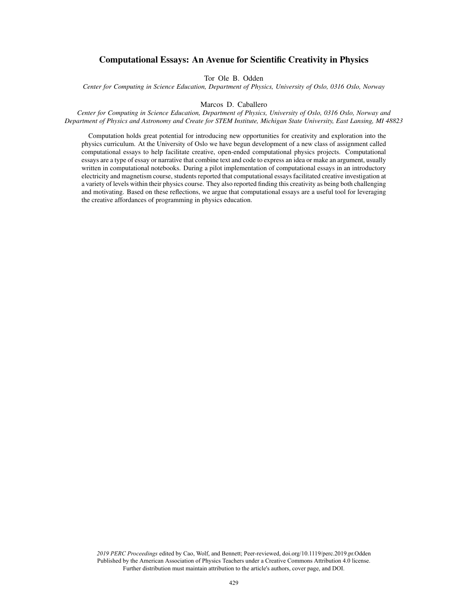# Computational Essays: An Avenue for Scientific Creativity in Physics

Tor Ole B. Odden

*Center for Computing in Science Education, Department of Physics, University of Oslo, 0316 Oslo, Norway*

#### Marcos D. Caballero

*Center for Computing in Science Education, Department of Physics, University of Oslo, 0316 Oslo, Norway and Department of Physics and Astronomy and Create for STEM Institute, Michigan State University, East Lansing, MI 48823*

Computation holds great potential for introducing new opportunities for creativity and exploration into the physics curriculum. At the University of Oslo we have begun development of a new class of assignment called computational essays to help facilitate creative, open-ended computational physics projects. Computational essays are a type of essay or narrative that combine text and code to express an idea or make an argument, usually written in computational notebooks. During a pilot implementation of computational essays in an introductory electricity and magnetism course, students reported that computational essays facilitated creative investigation at a variety of levels within their physics course. They also reported finding this creativity as being both challenging and motivating. Based on these reflections, we argue that computational essays are a useful tool for leveraging the creative affordances of programming in physics education.

*2019 PERC Proceedings* edited by Cao, Wolf, and Bennett; Peer-reviewed, doi.org/10.1119/perc.2019.pr.Odden Published by the American Association of Physics Teachers under a Creative Commons Attribution 4.0 license. Further distribution must maintain attribution to the article's authors, cover page, and DOI.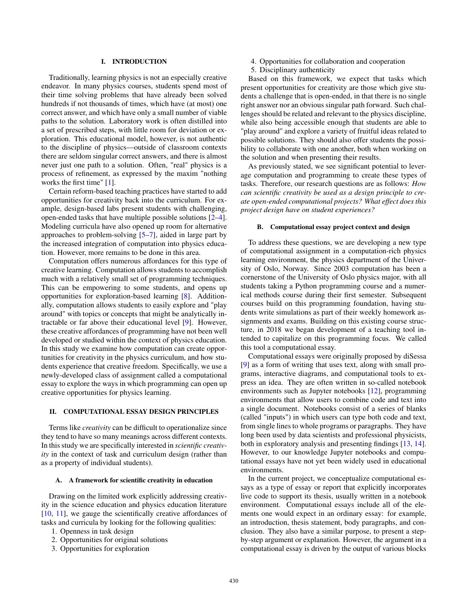## I. INTRODUCTION

Traditionally, learning physics is not an especially creative endeavor. In many physics courses, students spend most of their time solving problems that have already been solved hundreds if not thousands of times, which have (at most) one correct answer, and which have only a small number of viable paths to the solution. Laboratory work is often distilled into a set of prescribed steps, with little room for deviation or exploration. This educational model, however, is not authentic to the discipline of physics—outside of classroom contexts there are seldom singular correct answers, and there is almost never just one path to a solution. Often, "real" physics is a process of refinement, as expressed by the maxim "nothing works the first time" [1].

Certain reform-based teaching practices have started to add opportunities for creativity back into the curriculum. For example, design-based labs present students with challenging, open-ended tasks that have multiple possible solutions [2–4]. Modeling curricula have also opened up room for alternative approaches to problem-solving [5–7], aided in large part by the increased integration of computation into physics education. However, more remains to be done in this area.

Computation offers numerous affordances for this type of creative learning. Computation allows students to accomplish much with a relatively small set of programming techniques. This can be empowering to some students, and opens up opportunities for exploration-based learning [8]. Additionally, computation allows students to easily explore and "play around" with topics or concepts that might be analytically intractable or far above their educational level [9]. However, these creative affordances of programming have not been well developed or studied within the context of physics education. In this study we examine how computation can create opportunities for creativity in the physics curriculum, and how students experience that creative freedom. Specifically, we use a newly-developed class of assignment called a computational essay to explore the ways in which programming can open up creative opportunities for physics learning.

## II. COMPUTATIONAL ESSAY DESIGN PRINCIPLES

Terms like *creativity* can be difficult to operationalize since they tend to have so many meanings across different contexts. In this study we are specifically interested in *scientific creativity* in the context of task and curriculum design (rather than as a property of individual students).

### A. A framework for scientific creativity in education

Drawing on the limited work explicitly addressing creativity in the science education and physics education literature [10, 11], we gauge the scientifically creative affordances of tasks and curricula by looking for the following qualities:

- 1. Openness in task design
- 2. Opportunities for original solutions
- 3. Opportunities for exploration
- 4. Opportunities for collaboration and cooperation
- 5. Disciplinary authenticity

Based on this framework, we expect that tasks which present opportunities for creativity are those which give students a challenge that is open-ended, in that there is no single right answer nor an obvious singular path forward. Such challenges should be related and relevant to the physics discipline, while also being accessible enough that students are able to "play around" and explore a variety of fruitful ideas related to possible solutions. They should also offer students the possibility to collaborate with one another, both when working on the solution and when presenting their results.

As previously stated, we see significant potential to leverage computation and programming to create these types of tasks. Therefore, our research questions are as follows: *How can scientific creativity be used as a design principle to create open-ended computational projects? What effect does this project design have on student experiences?*

#### B. Computational essay project context and design

To address these questions, we are developing a new type of computational assignment in a computation-rich physics learning environment, the physics department of the University of Oslo, Norway. Since 2003 computation has been a cornerstone of the University of Oslo physics major, with all students taking a Python programming course and a numerical methods course during their first semester. Subsequent courses build on this programming foundation, having students write simulations as part of their weekly homework assignments and exams. Building on this existing course structure, in 2018 we began development of a teaching tool intended to capitalize on this programming focus. We called this tool a computational essay.

Computational essays were originally proposed by diSessa [9] as a form of writing that uses text, along with small programs, interactive diagrams, and computational tools to express an idea. They are often written in so-called notebook environments such as Jupyter notebooks [12], programming environments that allow users to combine code and text into a single document. Notebooks consist of a series of blanks (called "inputs") in which users can type both code and text, from single lines to whole programs or paragraphs. They have long been used by data scientists and professional physicists, both in exploratory analysis and presenting findings [13, 14]. However, to our knowledge Jupyter notebooks and computational essays have not yet been widely used in educational environments.

In the current project, we conceptualize computational essays as a type of essay or report that explicitly incorporates live code to support its thesis, usually written in a notebook environment. Computational essays include all of the elements one would expect in an ordinary essay: for example, an introduction, thesis statement, body paragraphs, and conclusion. They also have a similar purpose, to present a stepby-step argument or explanation. However, the argument in a computational essay is driven by the output of various blocks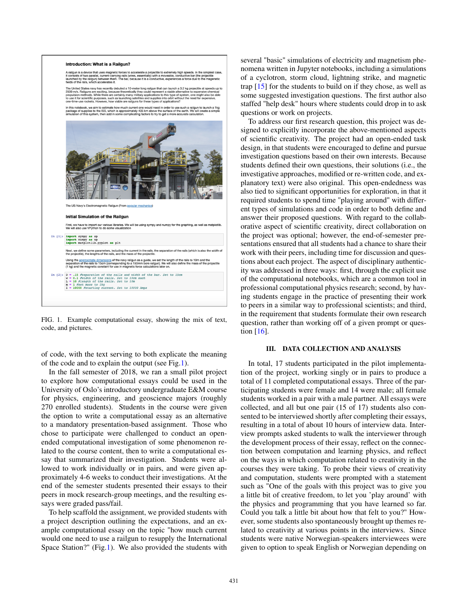

FIG. 1. Example computational essay, showing the mix of text, code, and pictures.

<span id="page-2-0"></span>of code, with the text serving to both explicate the meaning of the code and to explain the output (see Fig[.1\)](#page-2-0).

In the fall semester of 2018, we ran a small pilot project to explore how computational essays could be used in the University of Oslo's introductory undergraduate E&M course for physics, engineering, and geoscience majors (roughly 270 enrolled students). Students in the course were given the option to write a computational essay as an alternative to a mandatory presentation-based assignment. Those who chose to participate were challenged to conduct an openended computational investigation of some phenomenon related to the course content, then to write a computational essay that summarized their investigation. Students were allowed to work individually or in pairs, and were given approximately 4-6 weeks to conduct their investigations. At the end of the semester students presented their essays to their peers in mock research-group meetings, and the resulting essays were graded pass/fail.

To help scaffold the assignment, we provided students with a project description outlining the expectations, and an example computational essay on the topic "how much current would one need to use a railgun to resupply the International Space Station?" (Fig[.1\)](#page-2-0). We also provided the students with several "basic" simulations of electricity and magnetism phenomena written in Jupyter notebooks, including a simulations of a cyclotron, storm cloud, lightning strike, and magnetic trap [15] for the students to build on if they chose, as well as some suggested investigation questions. The first author also staffed "help desk" hours where students could drop in to ask questions or work on projects.

To address our first research question, this project was designed to explicitly incorporate the above-mentioned aspects of scientific creativity. The project had an open-ended task design, in that students were encouraged to define and pursue investigation questions based on their own interests. Because students defined their own questions, their solutions (i.e., the investigative approaches, modified or re-written code, and explanatory text) were also original. This open-endedness was also tied to significant opportunities for exploration, in that it required students to spend time "playing around" with different types of simulations and code in order to both define and answer their proposed questions. With regard to the collaborative aspect of scientific creativity, direct collaboration on the project was optional; however, the end-of-semester presentations ensured that all students had a chance to share their work with their peers, including time for discussion and questions about each project. The aspect of disciplinary authenticity was addressed in three ways: first, through the explicit use of the computational notebooks, which are a common tool in professional computational physics research; second, by having students engage in the practice of presenting their work to peers in a similar way to professional scientists; and third, in the requirement that students formulate their own research question, rather than working off of a given prompt or question [16].

### III. DATA COLLECTION AND ANALYSIS

In total, 17 students participated in the pilot implementation of the project, working singly or in pairs to produce a total of 11 completed computational essays. Three of the participating students were female and 14 were male; all female students worked in a pair with a male partner. All essays were collected, and all but one pair (15 of 17) students also consented to be interviewed shortly after completing their essays, resulting in a total of about 10 hours of interview data. Interview prompts asked students to walk the interviewer through the development process of their essay, reflect on the connection between computation and learning physics, and reflect on the ways in which computation related to creativity in the courses they were taking. To probe their views of creativity and computation, students were prompted with a statement such as "One of the goals with this project was to give you a little bit of creative freedom, to let you 'play around' with the physics and programming that you have learned so far. Could you talk a little bit about how that felt to you?" However, some students also spontaneously brought up themes related to creativity at various points in the interviews. Since students were native Norwegian-speakers interviewees were given to option to speak English or Norwegian depending on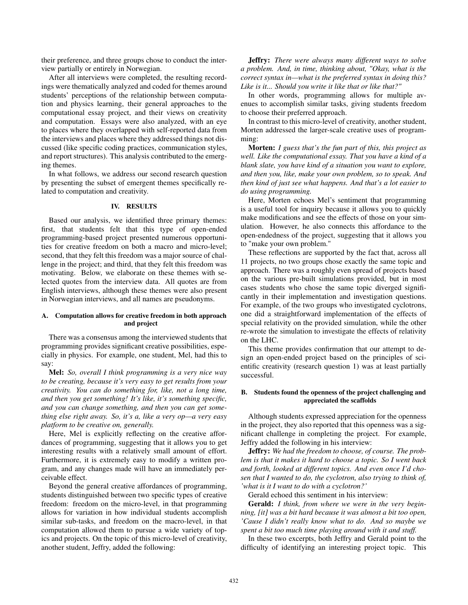their preference, and three groups chose to conduct the interview partially or entirely in Norwegian.

After all interviews were completed, the resulting recordings were thematically analyzed and coded for themes around students' perceptions of the relationship between computation and physics learning, their general approaches to the computational essay project, and their views on creativity and computation. Essays were also analyzed, with an eye to places where they overlapped with self-reported data from the interviews and places where they addressed things not discussed (like specific coding practices, communication styles, and report structures). This analysis contributed to the emerging themes.

In what follows, we address our second research question by presenting the subset of emergent themes specifically related to computation and creativity.

## IV. RESULTS

Based our analysis, we identified three primary themes: first, that students felt that this type of open-ended programming-based project presented numerous opportunities for creative freedom on both a macro and micro-level; second, that they felt this freedom was a major source of challenge in the project; and third, that they felt this freedom was motivating. Below, we elaborate on these themes with selected quotes from the interview data. All quotes are from English interviews, although these themes were also present in Norwegian interviews, and all names are pseudonyms.

## A. Computation allows for creative freedom in both approach and project

There was a consensus among the interviewed students that programming provides significant creative possibilities, especially in physics. For example, one student, Mel, had this to say:

Mel: *So, overall I think programming is a very nice way to be creating, because it's very easy to get results from your creativity. You can do something for, like, not a long time, and then you get something! It's like, it's something specific, and you can change something, and then you can get something else right away. So, it's a, like a very op—a very easy platform to be creative on, generally.*

Here, Mel is explicitly reflecting on the creative affordances of programming, suggesting that it allows you to get interesting results with a relatively small amount of effort. Furthermore, it is extremely easy to modify a written program, and any changes made will have an immediately perceivable effect.

Beyond the general creative affordances of programming, students distinguished between two specific types of creative freedom: freedom on the micro-level, in that programming allows for variation in how individual students accomplish similar sub-tasks, and freedom on the macro-level, in that computation allowed them to pursue a wide variety of topics and projects. On the topic of this micro-level of creativity, another student, Jeffry, added the following:

Jeffry: *There were always many different ways to solve a problem. And, in time, thinking about, "Okay, what is the correct syntax in—what is the preferred syntax in doing this? Like is it... Should you write it like that or like that?"*

In other words, programming allows for multiple avenues to accomplish similar tasks, giving students freedom to choose their preferred approach.

In contrast to this micro-level of creativity, another student, Morten addressed the larger-scale creative uses of programming:

Morten: *I guess that's the fun part of this, this project as well. Like the computational essay. That you have a kind of a blank slate, you have kind of a situation you want to explore, and then you, like, make your own problem, so to speak. And then kind of just see what happens. And that's a lot easier to do using programming.*

Here, Morten echoes Mel's sentiment that programming is a useful tool for inquiry because it allows you to quickly make modifications and see the effects of those on your simulation. However, he also connects this affordance to the open-endedness of the project, suggesting that it allows you to "make your own problem."

These reflections are supported by the fact that, across all 11 projects, no two groups chose exactly the same topic and approach. There was a roughly even spread of projects based on the various pre-built simulations provided, but in most cases students who chose the same topic diverged significantly in their implementation and investigation questions. For example, of the two groups who investigated cyclotrons, one did a straightforward implementation of the effects of special relativity on the provided simulation, while the other re-wrote the simulation to investigate the effects of relativity on the LHC.

This theme provides confirmation that our attempt to design an open-ended project based on the principles of scientific creativity (research question 1) was at least partially successful.

### B. Students found the openness of the project challenging and appreciated the scaffolds

Although students expressed appreciation for the openness in the project, they also reported that this openness was a significant challenge in completing the project. For example, Jeffry added the following in his interview:

Jeffry: *We had the freedom to choose, of course. The problem is that it makes it hard to choose a topic. So I went back and forth, looked at different topics. And even once I'd chosen that I wanted to do, the cyclotron, also trying to think of, 'what is it I want to do with a cyclotron?'*

Gerald echoed this sentiment in his interview:

Gerald: *I think, from where we were in the very beginning, [it] was a bit hard because it was almost a bit too open, 'Cause I didn't really know what to do. And so maybe we spent a bit too much time playing around with it and stuff.*

In these two excerpts, both Jeffry and Gerald point to the difficulty of identifying an interesting project topic. This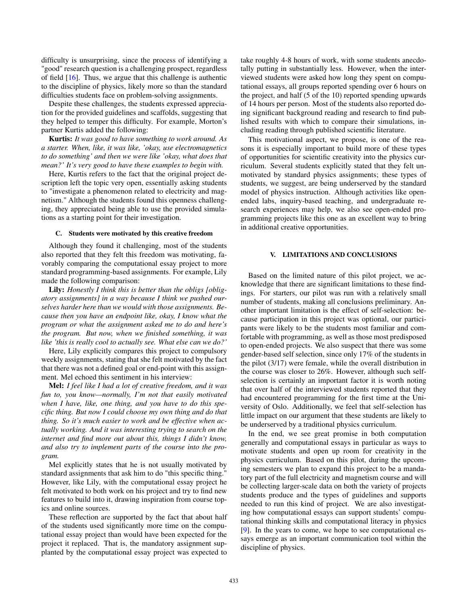difficulty is unsurprising, since the process of identifying a "good" research question is a challenging prospect, regardless of field  $[16]$ . Thus, we argue that this challenge is authentic to the discipline of physics, likely more so than the standard difficulties students face on problem-solving assignments.

Despite these challenges, the students expressed appreciation for the provided guidelines and scaffolds, suggesting that they helped to temper this difficulty. For example, Morton's partner Kurtis added the following:

Kurtis: *It was good to have something to work around. As a starter. When, like, it was like, 'okay, use electromagnetics to do something' and then we were like 'okay, what does that mean?' It's very good to have these examples to begin with.*

Here, Kurtis refers to the fact that the original project description left the topic very open, essentially asking students to "investigate a phenomenon related to electricity and magnetism." Although the students found this openness challenging, they appreciated being able to use the provided simulations as a starting point for their investigation.

#### C. Students were motivated by this creative freedom

Although they found it challenging, most of the students also reported that they felt this freedom was motivating, favorably comparing the computational essay project to more standard programming-based assignments. For example, Lily made the following comparison:

Lily: *Honestly I think this is better than the obligs [obligatory assignments] in a way because I think we pushed ourselves harder here than we would with those assignments. Because then you have an endpoint like, okay, I know what the program or what the assignment asked me to do and here's the program. But now, when we finished something, it was like 'this is really cool to actually see. What else can we do?'*

Here, Lily explicitly compares this project to compulsory weekly assignments, stating that she felt motivated by the fact that there was not a defined goal or end-point with this assignment. Mel echoed this sentiment in his interview:

Mel: *I feel like I had a lot of creative freedom, and it was fun to, you know—normally, I'm not that easily motivated when I have, like, one thing, and you have to do this specific thing. But now I could choose my own thing and do that thing. So it's much easier to work and be effective when actually working. And it was interesting trying to search on the internet and find more out about this, things I didn't know, and also try to implement parts of the course into the program.*

Mel explicitly states that he is not usually motivated by standard assignments that ask him to do "this specific thing." However, like Lily, with the computational essay project he felt motivated to both work on his project and try to find new features to build into it, drawing inspiration from course topics and online sources.

These reflection are supported by the fact that about half of the students used significantly more time on the computational essay project than would have been expected for the project it replaced. That is, the mandatory assignment supplanted by the computational essay project was expected to take roughly 4-8 hours of work, with some students anecdotally putting in substantially less. However, when the interviewed students were asked how long they spent on computational essays, all groups reported spending over 6 hours on the project, and half (5 of the 10) reported spending upwards of 14 hours per person. Most of the students also reported doing significant background reading and research to find published results with which to compare their simulations, including reading through published scientific literature.

This motivational aspect, we propose, is one of the reasons it is especially important to build more of these types of opportunities for scientific creativity into the physics curriculum. Several students explicitly stated that they felt unmotivated by standard physics assignments; these types of students, we suggest, are being underserved by the standard model of physics instruction. Although activities like openended labs, inquiry-based teaching, and undergraduate research experiences may help, we also see open-ended programming projects like this one as an excellent way to bring in additional creative opportunities.

#### V. LIMITATIONS AND CONCLUSIONS

Based on the limited nature of this pilot project, we acknowledge that there are significant limitations to these findings. For starters, our pilot was run with a relatively small number of students, making all conclusions preliminary. Another important limitation is the effect of self-selection: because participation in this project was optional, our participants were likely to be the students most familiar and comfortable with programming, as well as those most predisposed to open-ended projects. We also suspect that there was some gender-based self selection, since only 17% of the students in the pilot (3/17) were female, while the overall distribution in the course was closer to 26%. However, although such selfselection is certainly an important factor it is worth noting that over half of the interviewed students reported that they had encountered programming for the first time at the University of Oslo. Additionally, we feel that self-selection has little impact on our argument that these students are likely to be underserved by a traditional physics curriculum.

In the end, we see great promise in both computation generally and computational essays in particular as ways to motivate students and open up room for creativity in the physics curriculum. Based on this pilot, during the upcoming semesters we plan to expand this project to be a mandatory part of the full electricity and magnetism course and will be collecting larger-scale data on both the variety of projects students produce and the types of guidelines and supports needed to run this kind of project. We are also investigating how computational essays can support students' computational thinking skills and computational literacy in physics [9]. In the years to come, we hope to see computational essays emerge as an important communication tool within the discipline of physics.